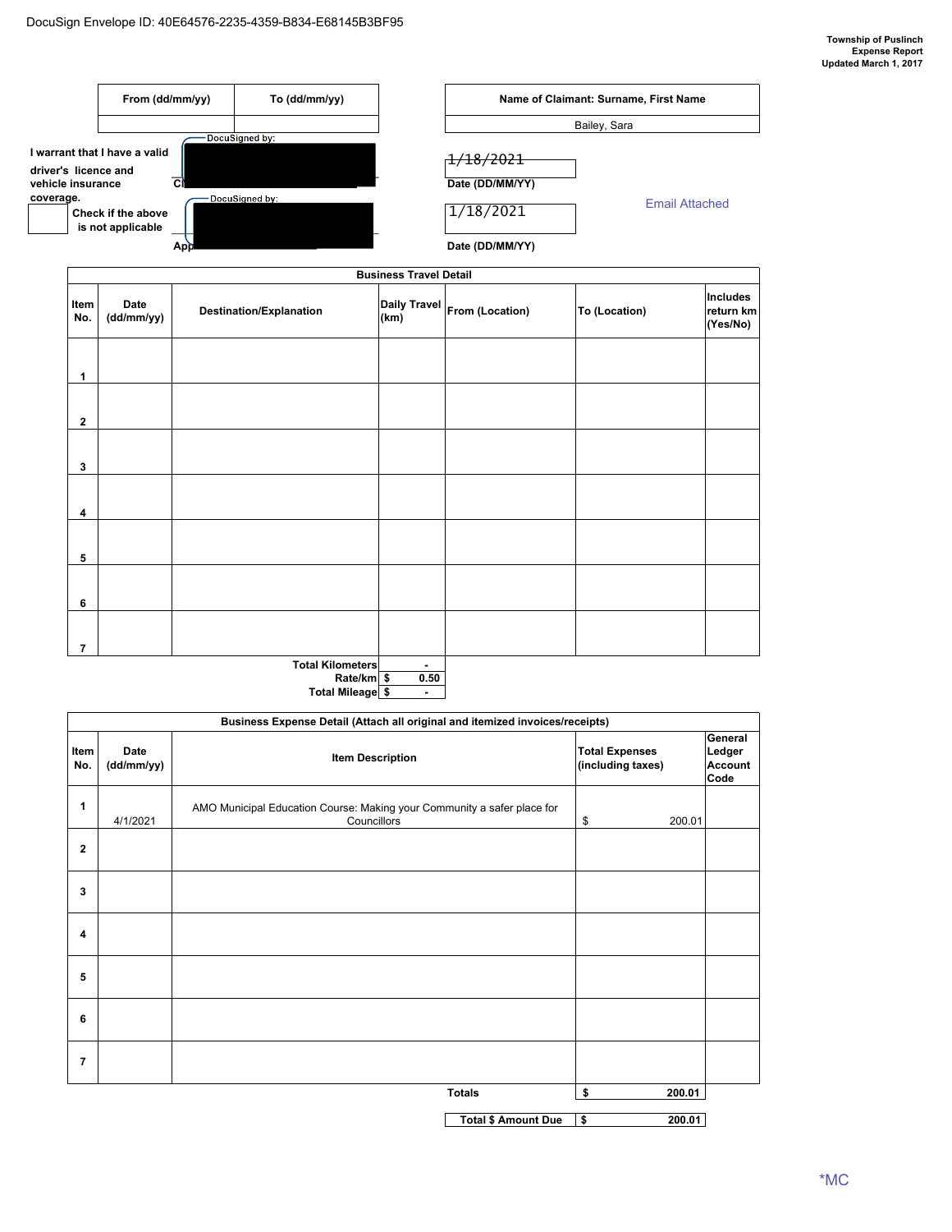

**Rate/km** \$ **Total Mileage -\$** 

| Business Expense Detail (Attach all original and itemized invoices/receipts) |                    |                                                                                        |                                            |                                             |  |  |  |  |
|------------------------------------------------------------------------------|--------------------|----------------------------------------------------------------------------------------|--------------------------------------------|---------------------------------------------|--|--|--|--|
| Item<br>No.                                                                  | Date<br>(dd/mm/yy) | <b>Item Description</b>                                                                | <b>Total Expenses</b><br>(including taxes) | General<br>Ledger<br><b>Account</b><br>Code |  |  |  |  |
| 1                                                                            | 4/1/2021           | AMO Municipal Education Course: Making your Community a safer place for<br>Councillors | \$<br>200.01                               |                                             |  |  |  |  |
| $\mathbf{2}$                                                                 |                    |                                                                                        |                                            |                                             |  |  |  |  |
| 3                                                                            |                    |                                                                                        |                                            |                                             |  |  |  |  |
| 4                                                                            |                    |                                                                                        |                                            |                                             |  |  |  |  |
| 5                                                                            |                    |                                                                                        |                                            |                                             |  |  |  |  |
| 6                                                                            |                    |                                                                                        |                                            |                                             |  |  |  |  |
| 7                                                                            |                    |                                                                                        |                                            |                                             |  |  |  |  |
|                                                                              |                    | <b>Totals</b>                                                                          | \$<br>200.01                               |                                             |  |  |  |  |
|                                                                              |                    | <b>Total \$ Amount Due</b>                                                             | \$<br>200.01                               |                                             |  |  |  |  |